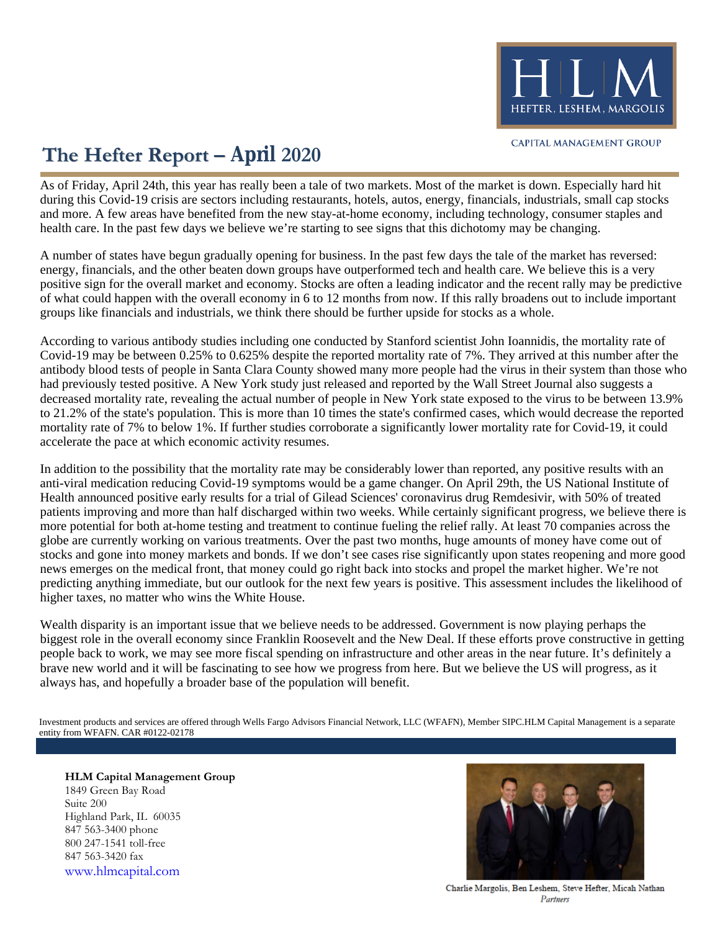

## **The Hefter Report – April 2020**

health care. In the past few days we believe we're starting to see signs that this dichotomy may be changing. and more. A few areas have benefited from the new stay-at-home economy, including technology, consumer staples and during this Covid-19 crisis are sectors including restaurants, hotels, autos, energy, financials, industrials, small cap stocks As of Friday, April 24th, this year has really been a tale of two markets. Most of the market is down. Especially hard hit

groups like financials and industrials, we think there should be further upside for stocks as a whole. of what could happen with the overall economy in 6 to 12 months from now. If this rally broadens out to include important positive sign for the overall market and economy. Stocks are often a leading indicator and the recent rally may be predictive energy, financials, and the other beaten down groups have outperformed tech and health care. We believe this is a very A number of states have begun gradually opening for business. In the past few days the tale of the market has reversed:

accelerate the pace at which economic activity resumes. mortality rate of 7% to below 1%. If further studies corroborate a significantly lower mortality rate for Covid-19, it could to 21.2% of the state's population. This is more than 10 times the state's confirmed cases, which would decrease the reported decreased mortality rate, revealing the actual number of people in New York state exposed to the virus to be between 13.9% had previously tested positive. A New York study just released and reported by the Wall Street Journal also suggests a antibody blood tests of people in Santa Clara County showed many more people had the virus in their system than those who Covid-19 may be between 0.25% to 0.625% despite the reported mortality rate of 7%. They arrived at this number after the According to various antibody studies including one conducted by Stanford scientist John Ioannidis, the mortality rate of

higher taxes, no matter who wins the White House. predicting anything immediate, but our outlook for the next few years is positive. This assessment includes the likelihood of news emerges on the medical front, that money could go right back into stocks and propel the market higher. We're not stocks and gone into money markets and bonds. If we don't see cases rise significantly upon states reopening and more good globe are currently working on various treatments. Over the past two months, huge amounts of money have come out of more potential for both at-home testing and treatment to continue fueling the relief rally. At least 70 companies across the patients improving and more than half discharged within two weeks. While certainly significant progress, we believe there is Health announced positive early results for a trial of Gilead Sciences' coronavirus drug Remdesivir, with 50% of treated anti-viral medication reducing Covid-19 symptoms would be a game changer. On April 29th, the US National Institute of In addition to the possibility that the mortality rate may be considerably lower than reported, any positive results with an

always has, and hopefully a broader base of the population will benefit. brave new world and it will be fascinating to see how we progress from here. But we believe the US will progress, as it people back to work, we may see more fiscal spending on infrastructure and other areas in the near future. It's definitely a biggest role in the overall economy since Franklin Roosevelt and the New Deal. If these efforts prove constructive in getting Wealth disparity is an important issue that we believe needs to be addressed. Government is now playing perhaps the

entity from WFAFN. CAR #0122-02178 Investment products and services are offered through Wells Fargo Advisors Financial Network, LLC (WFAFN), Member SIPC.HLM Capital Management is a separate

**HLM Capital Management Group** 1849 Green Bay Road Suite 200 Highland Park, IL 60035 847 563-3400 phone 800 247-1541 toll-free 847 563-3420 fax [www.hlmcapital.com](http://www.hlmcapital.com/)



Charlie Margolis, Ben Leshem, Steve Hefter, Micah Nathan Partners